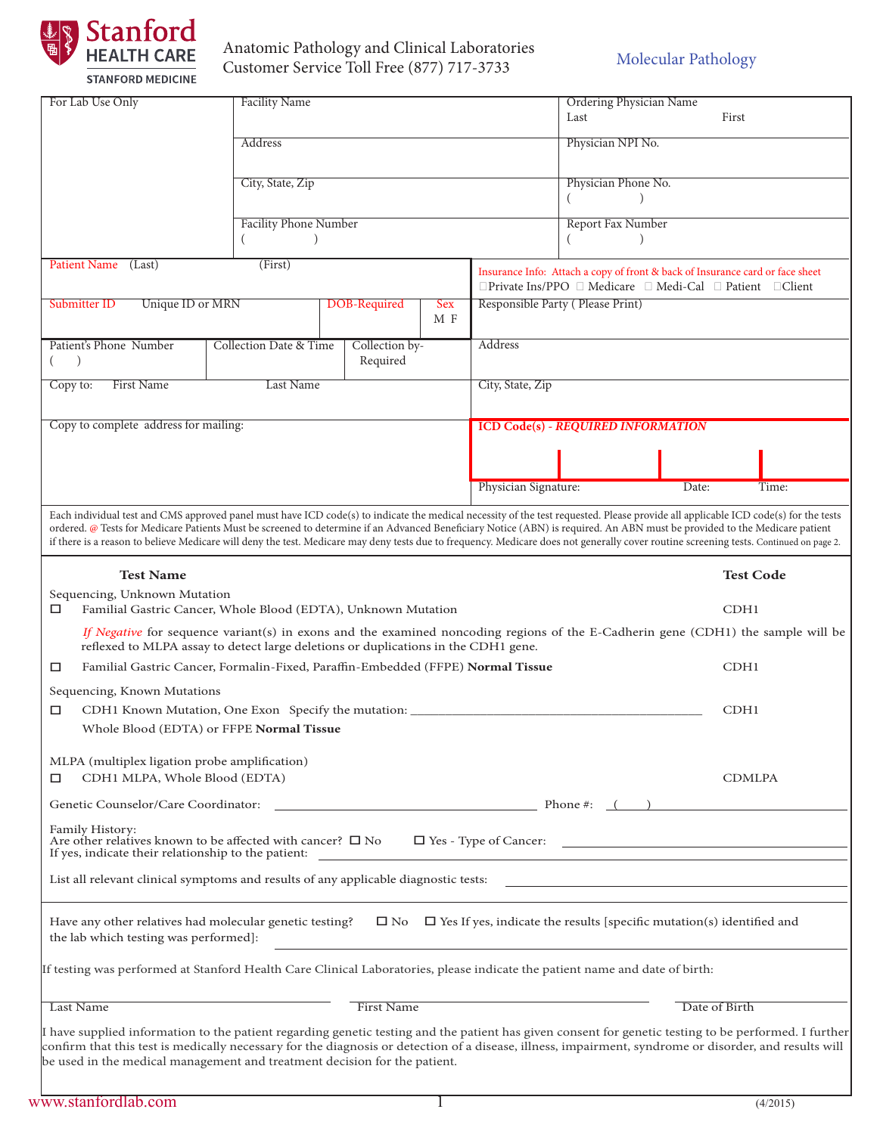

## Anatomic Pathology and Clinical Laboratories Customer Service Toll Free (877) 717-3733

| For Lab Use Only                                                                                                                                                                                                                                                                                                                                                                                                                                                                                                                                          |              |            |                                  |                                                                                                                                            | <b>Ordering Physician Name</b> |               |       |  |
|-----------------------------------------------------------------------------------------------------------------------------------------------------------------------------------------------------------------------------------------------------------------------------------------------------------------------------------------------------------------------------------------------------------------------------------------------------------------------------------------------------------------------------------------------------------|--------------|------------|----------------------------------|--------------------------------------------------------------------------------------------------------------------------------------------|--------------------------------|---------------|-------|--|
| <b>Facility Name</b>                                                                                                                                                                                                                                                                                                                                                                                                                                                                                                                                      |              |            |                                  |                                                                                                                                            | Last<br>First                  |               |       |  |
|                                                                                                                                                                                                                                                                                                                                                                                                                                                                                                                                                           |              |            |                                  |                                                                                                                                            |                                |               |       |  |
| Address                                                                                                                                                                                                                                                                                                                                                                                                                                                                                                                                                   |              |            |                                  |                                                                                                                                            | Physician NPI No.              |               |       |  |
|                                                                                                                                                                                                                                                                                                                                                                                                                                                                                                                                                           |              |            |                                  |                                                                                                                                            |                                |               |       |  |
| City, State, Zip                                                                                                                                                                                                                                                                                                                                                                                                                                                                                                                                          |              |            |                                  | Physician Phone No.                                                                                                                        |                                |               |       |  |
|                                                                                                                                                                                                                                                                                                                                                                                                                                                                                                                                                           |              |            |                                  |                                                                                                                                            |                                |               |       |  |
| <b>Facility Phone Number</b>                                                                                                                                                                                                                                                                                                                                                                                                                                                                                                                              |              |            |                                  |                                                                                                                                            | Report Fax Number              |               |       |  |
|                                                                                                                                                                                                                                                                                                                                                                                                                                                                                                                                                           |              |            |                                  |                                                                                                                                            |                                |               |       |  |
| Patient Name (Last)<br>(First)                                                                                                                                                                                                                                                                                                                                                                                                                                                                                                                            |              |            |                                  | Insurance Info: Attach a copy of front & back of Insurance card or face sheet<br>□Private Ins/PPO □ Medicare □ Medi-Cal □ Patient □ Client |                                |               |       |  |
| Unique ID or MRN<br>Submitter ID                                                                                                                                                                                                                                                                                                                                                                                                                                                                                                                          | DOB-Required | <b>Sex</b> | Responsible Party (Please Print) |                                                                                                                                            |                                |               |       |  |
|                                                                                                                                                                                                                                                                                                                                                                                                                                                                                                                                                           |              | M F        |                                  |                                                                                                                                            |                                |               |       |  |
| Patient's Phone Number<br>Collection Date & Time<br>Collection by-                                                                                                                                                                                                                                                                                                                                                                                                                                                                                        |              |            |                                  | Address                                                                                                                                    |                                |               |       |  |
|                                                                                                                                                                                                                                                                                                                                                                                                                                                                                                                                                           |              | Required   |                                  |                                                                                                                                            |                                |               |       |  |
| <b>First Name</b><br>Copy to:                                                                                                                                                                                                                                                                                                                                                                                                                                                                                                                             | Last Name    |            |                                  | City, State, Zip                                                                                                                           |                                |               |       |  |
|                                                                                                                                                                                                                                                                                                                                                                                                                                                                                                                                                           |              |            |                                  |                                                                                                                                            |                                |               |       |  |
| Copy to complete address for mailing:                                                                                                                                                                                                                                                                                                                                                                                                                                                                                                                     |              |            |                                  | <b>ICD Code(s) - REQUIRED INFORMATION</b>                                                                                                  |                                |               |       |  |
|                                                                                                                                                                                                                                                                                                                                                                                                                                                                                                                                                           |              |            |                                  |                                                                                                                                            |                                |               |       |  |
|                                                                                                                                                                                                                                                                                                                                                                                                                                                                                                                                                           |              |            |                                  |                                                                                                                                            |                                |               |       |  |
|                                                                                                                                                                                                                                                                                                                                                                                                                                                                                                                                                           |              |            |                                  | Physician Signature:                                                                                                                       |                                | Date:         | Time: |  |
| Each individual test and CMS approved panel must have ICD code(s) to indicate the medical necessity of the test requested. Please provide all applicable ICD code(s) for the tests<br>ordered. @ Tests for Medicare Patients Must be screened to determine if an Advanced Beneficiary Notice (ABN) is required. An ABN must be provided to the Medicare patient<br>if there is a reason to believe Medicare will deny the test. Medicare may deny tests due to frequency. Medicare does not generally cover routine screening tests. Continued on page 2. |              |            |                                  |                                                                                                                                            |                                |               |       |  |
| <b>Test Name</b><br><b>Test Code</b>                                                                                                                                                                                                                                                                                                                                                                                                                                                                                                                      |              |            |                                  |                                                                                                                                            |                                |               |       |  |
| Sequencing, Unknown Mutation<br>Familial Gastric Cancer, Whole Blood (EDTA), Unknown Mutation<br>□                                                                                                                                                                                                                                                                                                                                                                                                                                                        |              |            |                                  |                                                                                                                                            |                                | CDH1          |       |  |
| If Negative for sequence variant(s) in exons and the examined noncoding regions of the E-Cadherin gene (CDH1) the sample will be<br>reflexed to MLPA assay to detect large deletions or duplications in the CDH1 gene.                                                                                                                                                                                                                                                                                                                                    |              |            |                                  |                                                                                                                                            |                                |               |       |  |
| Familial Gastric Cancer, Formalin-Fixed, Paraffin-Embedded (FFPE) Normal Tissue<br>CDH1<br>□                                                                                                                                                                                                                                                                                                                                                                                                                                                              |              |            |                                  |                                                                                                                                            |                                |               |       |  |
| Sequencing, Known Mutations                                                                                                                                                                                                                                                                                                                                                                                                                                                                                                                               |              |            |                                  |                                                                                                                                            |                                |               |       |  |
| CDH1 Known Mutation, One Exon Specify the mutation:<br>□                                                                                                                                                                                                                                                                                                                                                                                                                                                                                                  |              |            |                                  |                                                                                                                                            |                                |               | CDH1  |  |
| Whole Blood (EDTA) or FFPE <b>Normal Tissue</b>                                                                                                                                                                                                                                                                                                                                                                                                                                                                                                           |              |            |                                  |                                                                                                                                            |                                |               |       |  |
|                                                                                                                                                                                                                                                                                                                                                                                                                                                                                                                                                           |              |            |                                  |                                                                                                                                            |                                |               |       |  |
| MLPA (multiplex ligation probe amplification)                                                                                                                                                                                                                                                                                                                                                                                                                                                                                                             |              |            |                                  |                                                                                                                                            |                                |               |       |  |
| CDH1 MLPA, Whole Blood (EDTA)<br>□                                                                                                                                                                                                                                                                                                                                                                                                                                                                                                                        |              |            |                                  |                                                                                                                                            |                                | <b>CDMLPA</b> |       |  |
|                                                                                                                                                                                                                                                                                                                                                                                                                                                                                                                                                           |              |            |                                  |                                                                                                                                            |                                |               |       |  |
| Family History:<br>Are other relatives known to be affected with cancer? $\square$ No                                                                                                                                                                                                                                                                                                                                                                                                                                                                     |              |            |                                  |                                                                                                                                            |                                |               |       |  |
| If yes, indicate their relationship to the patient:<br><u> 1980 - Johann Barn, mars an t-Amerikaansk politiker (</u>                                                                                                                                                                                                                                                                                                                                                                                                                                      |              |            |                                  |                                                                                                                                            |                                |               |       |  |
| List all relevant clinical symptoms and results of any applicable diagnostic tests:                                                                                                                                                                                                                                                                                                                                                                                                                                                                       |              |            |                                  |                                                                                                                                            |                                |               |       |  |
| Have any other relatives had molecular genetic testing? $\square$ No $\square$ Yes If yes, indicate the results [specific mutation(s) identified and<br>the lab which testing was performed]:                                                                                                                                                                                                                                                                                                                                                             |              |            |                                  |                                                                                                                                            |                                |               |       |  |
| If testing was performed at Stanford Health Care Clinical Laboratories, please indicate the patient name and date of birth:                                                                                                                                                                                                                                                                                                                                                                                                                               |              |            |                                  |                                                                                                                                            |                                |               |       |  |
| First Name<br>Date of Birth<br>Last Name                                                                                                                                                                                                                                                                                                                                                                                                                                                                                                                  |              |            |                                  |                                                                                                                                            |                                |               |       |  |
| I have supplied information to the patient regarding genetic testing and the patient has given consent for genetic testing to be performed. I further<br>confirm that this test is medically necessary for the diagnosis or detection of a disease, illness, impairment, syndrome or disorder, and results will<br>be used in the medical management and treatment decision for the patient.                                                                                                                                                              |              |            |                                  |                                                                                                                                            |                                |               |       |  |